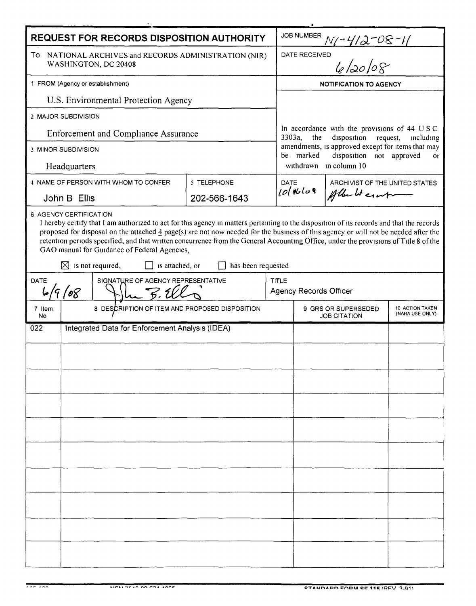| REQUEST FOR RECORDS DISPOSITION AUTHORITY                                                                                                                                                                                                                                                                                                                                                                                                                                                                                                                                  |                                                 |                                      |              |              | <b>JOB NUMBER</b>                                                                                                                                                                                                                             |                                |  |  |
|----------------------------------------------------------------------------------------------------------------------------------------------------------------------------------------------------------------------------------------------------------------------------------------------------------------------------------------------------------------------------------------------------------------------------------------------------------------------------------------------------------------------------------------------------------------------------|-------------------------------------------------|--------------------------------------|--------------|--------------|-----------------------------------------------------------------------------------------------------------------------------------------------------------------------------------------------------------------------------------------------|--------------------------------|--|--|
| To NATIONAL ARCHIVES and RECORDS ADMINISTRATION (NIR)<br>WASHINGTON, DC 20408                                                                                                                                                                                                                                                                                                                                                                                                                                                                                              |                                                 |                                      |              |              | N - 412-08-11<br><sup>ED</sup> le l20 l08<br>DATE RECEIVED                                                                                                                                                                                    |                                |  |  |
| 1 FROM (Agency or establishment)                                                                                                                                                                                                                                                                                                                                                                                                                                                                                                                                           |                                                 |                                      |              |              | <b>NOTIFICATION TO AGENCY</b>                                                                                                                                                                                                                 |                                |  |  |
| U.S. Environmental Protection Agency                                                                                                                                                                                                                                                                                                                                                                                                                                                                                                                                       |                                                 |                                      |              |              |                                                                                                                                                                                                                                               |                                |  |  |
| 2 MAJOR SUBDIVISION                                                                                                                                                                                                                                                                                                                                                                                                                                                                                                                                                        |                                                 |                                      |              |              |                                                                                                                                                                                                                                               |                                |  |  |
| <b>Enforcement and Compliance Assurance</b>                                                                                                                                                                                                                                                                                                                                                                                                                                                                                                                                |                                                 |                                      |              |              | In accordance with the provisions of 44 USC<br>disposition<br>3303a,<br>the<br>request,<br>including<br>amendments, is approved except for items that may<br>be marked<br>disposition not approved<br><sub>or</sub><br>withdrawn in column 10 |                                |  |  |
| <b>3 MINOR SUBDIVISION</b>                                                                                                                                                                                                                                                                                                                                                                                                                                                                                                                                                 |                                                 |                                      |              |              |                                                                                                                                                                                                                                               |                                |  |  |
| Headquarters                                                                                                                                                                                                                                                                                                                                                                                                                                                                                                                                                               |                                                 |                                      |              |              |                                                                                                                                                                                                                                               |                                |  |  |
|                                                                                                                                                                                                                                                                                                                                                                                                                                                                                                                                                                            |                                                 | 4 NAME OF PERSON WITH WHOM TO CONFER | 5 TELEPHONE  |              | <b>DATE</b>                                                                                                                                                                                                                                   | ARCHIVIST OF THE UNITED STATES |  |  |
| John B Ellis                                                                                                                                                                                                                                                                                                                                                                                                                                                                                                                                                               |                                                 |                                      | 202-566-1643 |              | $101$ Nolog                                                                                                                                                                                                                                   | Allen Literatur                |  |  |
| 6 AGENCY CERTIFICATION<br>I hereby certify that I am authorized to act for this agency in matters pertaining to the disposition of its records and that the records<br>proposed for disposal on the attached 4 page(s) are not now needed for the business of this agency or will not be needed after the<br>retention periods specified, and that written concurrence from the General Accounting Office, under the provisions of Title 8 of the<br>GAO manual for Guidance of Federal Agencies,<br>$\boxtimes$ is not required,<br>is attached, or<br>has been requested |                                                 |                                      |              |              |                                                                                                                                                                                                                                               |                                |  |  |
| DATE<br>SIGNATURE OF AGENCY REPRESENTATIVE<br>6/9/08<br>_ B. U                                                                                                                                                                                                                                                                                                                                                                                                                                                                                                             |                                                 |                                      |              | <b>TITLE</b> | Agency Records Officer                                                                                                                                                                                                                        |                                |  |  |
| 7 Item<br>No                                                                                                                                                                                                                                                                                                                                                                                                                                                                                                                                                               | 8 DESCRIPTION OF ITEM AND PROPOSED DISPOSITION  |                                      |              |              | 9 GRS OR SUPERSEDED<br>10 ACTION TAKEN<br>(NARA USE ONLY)<br><b>JOB CITATION</b>                                                                                                                                                              |                                |  |  |
| 022                                                                                                                                                                                                                                                                                                                                                                                                                                                                                                                                                                        | Integrated Data for Enforcement Analysis (IDEA) |                                      |              |              |                                                                                                                                                                                                                                               |                                |  |  |
|                                                                                                                                                                                                                                                                                                                                                                                                                                                                                                                                                                            |                                                 |                                      |              |              |                                                                                                                                                                                                                                               |                                |  |  |
|                                                                                                                                                                                                                                                                                                                                                                                                                                                                                                                                                                            |                                                 |                                      |              |              |                                                                                                                                                                                                                                               |                                |  |  |
|                                                                                                                                                                                                                                                                                                                                                                                                                                                                                                                                                                            |                                                 |                                      |              |              |                                                                                                                                                                                                                                               |                                |  |  |
|                                                                                                                                                                                                                                                                                                                                                                                                                                                                                                                                                                            |                                                 |                                      |              |              |                                                                                                                                                                                                                                               |                                |  |  |
|                                                                                                                                                                                                                                                                                                                                                                                                                                                                                                                                                                            |                                                 |                                      |              |              |                                                                                                                                                                                                                                               |                                |  |  |
|                                                                                                                                                                                                                                                                                                                                                                                                                                                                                                                                                                            |                                                 |                                      |              |              |                                                                                                                                                                                                                                               |                                |  |  |
|                                                                                                                                                                                                                                                                                                                                                                                                                                                                                                                                                                            |                                                 |                                      |              |              |                                                                                                                                                                                                                                               |                                |  |  |
|                                                                                                                                                                                                                                                                                                                                                                                                                                                                                                                                                                            |                                                 |                                      |              |              |                                                                                                                                                                                                                                               |                                |  |  |
|                                                                                                                                                                                                                                                                                                                                                                                                                                                                                                                                                                            |                                                 |                                      |              |              |                                                                                                                                                                                                                                               |                                |  |  |
|                                                                                                                                                                                                                                                                                                                                                                                                                                                                                                                                                                            |                                                 |                                      |              |              |                                                                                                                                                                                                                                               |                                |  |  |
|                                                                                                                                                                                                                                                                                                                                                                                                                                                                                                                                                                            |                                                 |                                      |              |              |                                                                                                                                                                                                                                               |                                |  |  |
|                                                                                                                                                                                                                                                                                                                                                                                                                                                                                                                                                                            |                                                 |                                      |              |              |                                                                                                                                                                                                                                               |                                |  |  |
|                                                                                                                                                                                                                                                                                                                                                                                                                                                                                                                                                                            |                                                 |                                      |              |              |                                                                                                                                                                                                                                               |                                |  |  |
|                                                                                                                                                                                                                                                                                                                                                                                                                                                                                                                                                                            |                                                 |                                      |              |              |                                                                                                                                                                                                                                               |                                |  |  |

 $777.722$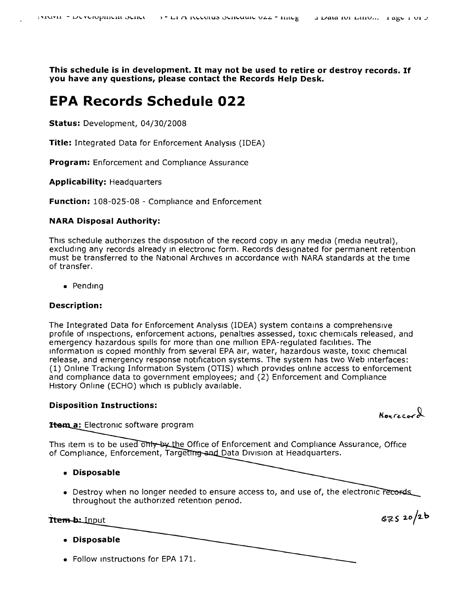**This schedule is in development. It may not be used to retire or destroy records. If you have any questions, please contact the Records Help Desk.**

# **EPA Records Schedule 022**

**Status:** Development, 04/30/2008

**Title:** Integrated Data for Enforcement Analysis (IDEA)

**Program:** Enforcement and Compliance Assurance

**Applicability:** Headquarters

**Function:** 108-025-08 - Compliance and Enforcement

## **NARA Disposal Authority:**

This schedule authorizes the disposition of the record copy In any media (media neutral), excluding any records already in electronic form. Records designated for permanent retention must be transferred to the National Archives In accordance with NARA standards at the time of transfer.

• Pending

## **Description:**

The Integrated Data for Enforcement Analvsis (IDEA) system contains a comprehensive profile of inspections, enforcement actions, penalties assessed, toxic chemicals released, and emergency hazardous spills for more than one million EPA-regulated facilities. The information is copied monthly from several EPA air, water, hazardous waste, toxic chemical release, and emergency response notification systems. The system has two Web Interfaces: (1) Online Tracking Information System (OTIS) which provides online access to enforcement and compliance data to government employees; and (2) Enforcement and Compliance History Online (ECHO) which is publicly available.

## **Disposition Instructions:**

Nourecord

**Item a:** Electronic software program

This item is to be used only by the Office of Enforcement and Compliance Assurance, Office of Compliance, Enforcement, Targeting and Data Division at Headquarters.

- **• Disposable**
- Destroy when no longer needed to ensure access to, and use of, the electronic records throughout the authorized retention period.

Ttem-b: Input

 $67520/26$ 

- **• Disposable**
- Follow instructions for EPA 171.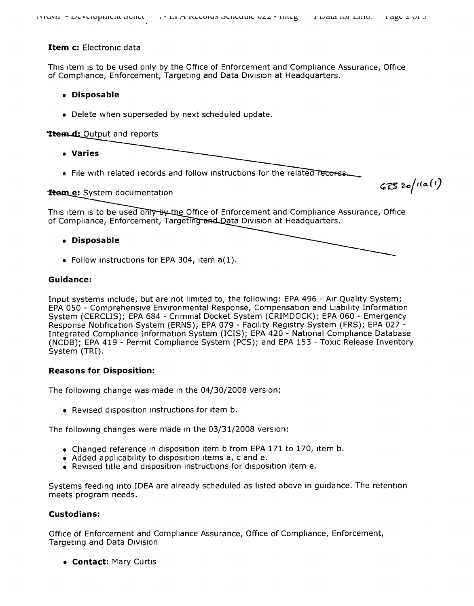## **Item c:** Electronic data

This item is to be used only by the Office of Enforcement and Compliance Assurance, Office of Compliance, Enforcement, Targeting and Data Division at Headquarters.

## **• Disposable**

• Delete when superseded by next scheduled update.

# **Trem.d:** Output and reports

- **• Varies**
- File with related records and follow instructions for the related records.

# Trem\_e: System documentation

This item is to be used only by the Office of Enforcement and Compliance Assurance, Office of Compliance, Enforcement, Targeting and Data Division at Headquarters.

# **• Disposable**

• Follow instructions for EPA 304, item a(1).

## **Guidance:**

Input systems Include, but are not limited to, the following: EPA496 - Air Quality System; EPA050 - Cornprehensrve EnVironmental Response, Compensation and liability Information System (CERCLIS); EPA684 - Criminal Docket System (CRIMDOCK); EPA060 - Emergency Response Notification System (ERNS); EPA 079 - Facility Registry System (FRS); EPA 027 -Integrated Compliance Information System (ICIS); EPA420 - National Compliance Database (NCDB); EPA 419 - Permit Compliance System (PCS); and EPA 153 - Toxic Release Inventory System (TRI).

# **Reasons for Disposition:**

The following change was made In the 04/30/2008 version:

• Revised disposition instructions for item b.

The following changes were made in the 03/31/2008 version:

- Changed reference in disposition item b from EPA 171 to 170, item b.
- Added applicability to disposition items a, c and e.
- Revised title and disposition instructions for disposition item e.

Systems feeding into IDEA are already scheduled as listed above in quidance. The retention meets program needs.

# **Custodians:**

Office of Enforcement and Compliance Assurance, Office of Compliance, Enforcement, Targeting and Data DIVISion

**• Contact:** Mary Curtis

 $67520/110(1)$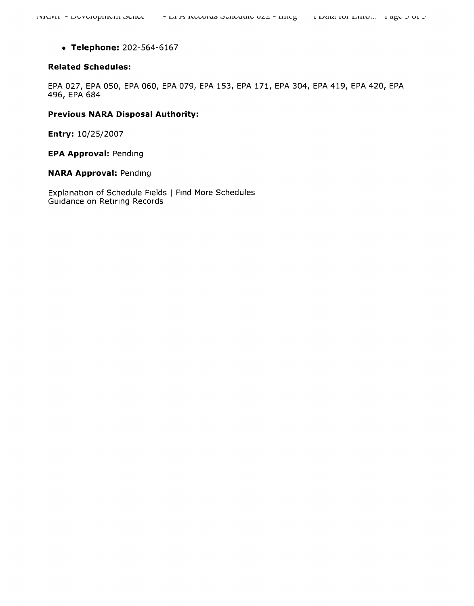• Telephone: 202-564-6167

#### **Related Schedules:**

EPA 027, EPA 050, EPA 060, EPA 079, EPA 153, EPA 171, EPA 304, EPA 419, EPA 420, EPA 496, EPA 684

## **Previous NARA Disposal Authority:**

Entry: 10/25/2007

**EPA Approval: Pending** 

**NARA Approval: Pending** 

Explanation of Schedule Fields | Find More Schedules Guidance on Retiring Records